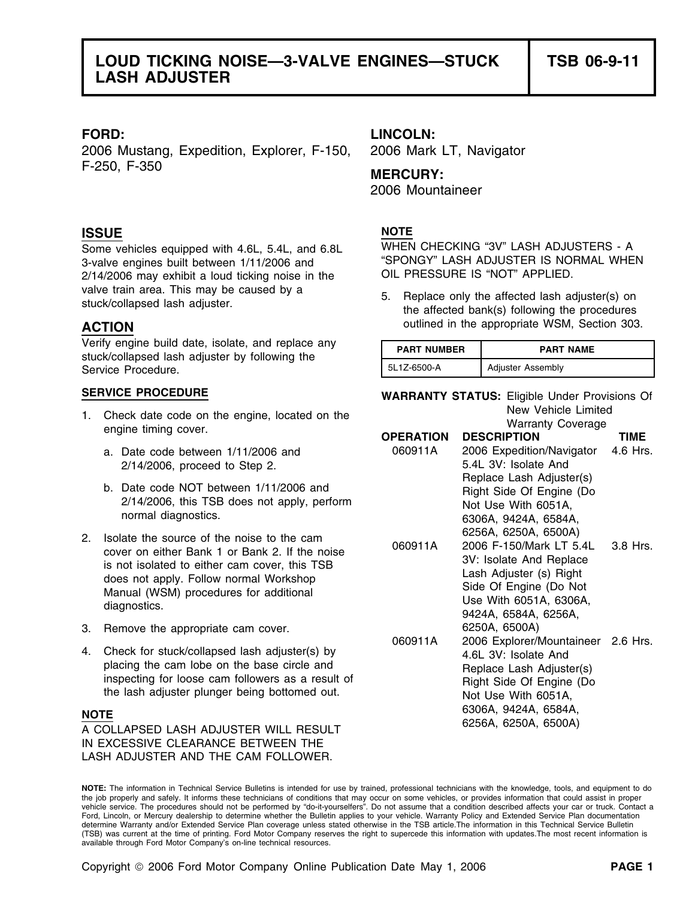2006 Mustang, Expedition, Explorer, F-150, 2006 Mark LT, Navigator F-250, F-350 **MERCURY:**

## **ISSUE** NOTE

3-valve engines built between 1/11/2006 and "SPONGY" LASH ADJUSTER IS NORG<br>2/14/2006 may exhibit a loud ticking noise in the COL PRESSURE IS "NOT" APPLIED.  $2/14/2006$  may exhibit a loud ticking noise in the valve train area. This may be caused by a 5. Replace only the affected lash adjuster(s) on stuck/collapsed lash adjuster.

Verify engine build date, isolate, and replace any stuck/collapsed lash adjuster by following the Service Procedure.

- 1. Check date code on the engine, located on the Warranty Coverage engine timing cover.<br> **OPERATION DESCRIPTION** 
	- a. Date code between 1/11/2006 and  $2/14/2006$ , proceed to Step 2.
	- b. Date code NOT between 1/11/2006 and 2/14/2006, this TSB does not apply, perform normal diagnostics.
- 
- 3. Remove the appropriate cam cover.
- 4. Check for stuck/collapsed lash adjuster(s) by placing the cam lobe on the base circle and<br>inspecting for loose cam followers as a result of<br>the lash adjuster plunger being bottomed out.

6306A, 9424A, 6584A, **NOTE** 6256A, 6250A, 6500A) A COLLAPSED LASH ADJUSTER WILL RESULT IN EXCESSIVE CLEARANCE BETWEEN THE LASH ADJUSTER AND THE CAM FOLLOWER.

### **FORD: LINCOLN:**

2006 Mountaineer

Some vehicles equipped with 4.6L, 5.4L, and 6.8L WHEN CHECKING "3V" LASH ADJUSTERS - A<br>3-valve engines built between 1/11/2006 and "SPONGY" LASH ADJUSTER IS NORMAL WHEN

**ACTION ACTION OUTER ACTION OUTER OUTER OUTER OUTER OUTER OUTER OUTER OUTER OUTER OUTER OUTER OUTER** 

| <b>PART NUMBER</b> | <b>PART NAME</b>         |
|--------------------|--------------------------|
| 5L1Z-6500-A        | <b>Adjuster Assembly</b> |

**SERVICE PROCEDURE WARRANTY STATUS:** Eligible Under Provisions Of

|    |                                                                                                                                                                                                                                                   |                  | $1.441411$ , $0.51010$                                                                                                                                                            |             |
|----|---------------------------------------------------------------------------------------------------------------------------------------------------------------------------------------------------------------------------------------------------|------------------|-----------------------------------------------------------------------------------------------------------------------------------------------------------------------------------|-------------|
|    | engine timing cover.                                                                                                                                                                                                                              | <b>OPERATION</b> | <b>DESCRIPTION</b>                                                                                                                                                                | <b>TIME</b> |
|    | a. Date code between 1/11/2006 and<br>2/14/2006, proceed to Step 2.                                                                                                                                                                               | 060911A          | 2006 Expedition/Navigator<br>5.4L 3V: Isolate And                                                                                                                                 | 4.6 Hrs.    |
|    | b. Date code NOT between 1/11/2006 and<br>2/14/2006, this TSB does not apply, perform<br>normal diagnostics.                                                                                                                                      |                  | Replace Lash Adjuster(s)<br>Right Side Of Engine (Do<br>Not Use With 6051A,<br>6306A, 9424A, 6584A,                                                                               |             |
| 2. | Isolate the source of the noise to the cam<br>cover on either Bank 1 or Bank 2. If the noise<br>is not isolated to either cam cover, this TSB<br>does not apply. Follow normal Workshop<br>Manual (WSM) procedures for additional<br>diagnostics. | 060911A          | 6256A, 6250A, 6500A)<br>2006 F-150/Mark LT 5.4L<br>3V: Isolate And Replace<br>Lash Adjuster (s) Right<br>Side Of Engine (Do Not<br>Use With 6051A, 6306A,<br>9424A, 6584A, 6256A, | 3.8 Hrs.    |
| 3. | Remove the appropriate cam cover.                                                                                                                                                                                                                 |                  | 6250A, 6500A)                                                                                                                                                                     |             |
| 4. | Check for stuck/collapsed lash adjuster(s) by<br>placing the cam lobe on the base circle and<br>inspecting for loose cam followers as a result of<br>the lash adjuster plunger being bottomed out.                                                | 060911A          | 2006 Explorer/Mountaineer 2.6 Hrs.<br>4.6L 3V: Isolate And<br>Replace Lash Adjuster(s)<br>Right Side Of Engine (Do<br>Not Use With 6051A,                                         |             |
|    | NOTE<br>A COLLAPSED LASH ADJUSTER WILL RESULT                                                                                                                                                                                                     |                  | 6306A, 9424A, 6584A,<br>6256A, 6250A, 6500A)                                                                                                                                      |             |
|    |                                                                                                                                                                                                                                                   |                  |                                                                                                                                                                                   |             |

**NOTE:** The information in Technical Service Bulletins is intended for use by trained, professional technicians with the knowledge, tools, and equipment to do the job properly and safely. It informs these technicians of conditions that may occur on some vehicles, or provides information that could assist in proper vehicle service. The procedures should not be performed by "do-it-yourselfers". Do not assume that a condition described affects your car or truck. Contact a Ford, Lincoln, or Mercury dealership to determine whether the Bulletin applies to your vehicle. Warranty Policy and Extended Service Plan documentation determine Warranty and/or Extended Service Plan coverage unless stated otherwise in the TSB article.The information in this Technical Service Bulletin (TSB) was current at the time of printing. Ford Motor Company reserves the right to supercede this information with updates.The most recent information is available through Ford Motor Company's on-line technical resources.